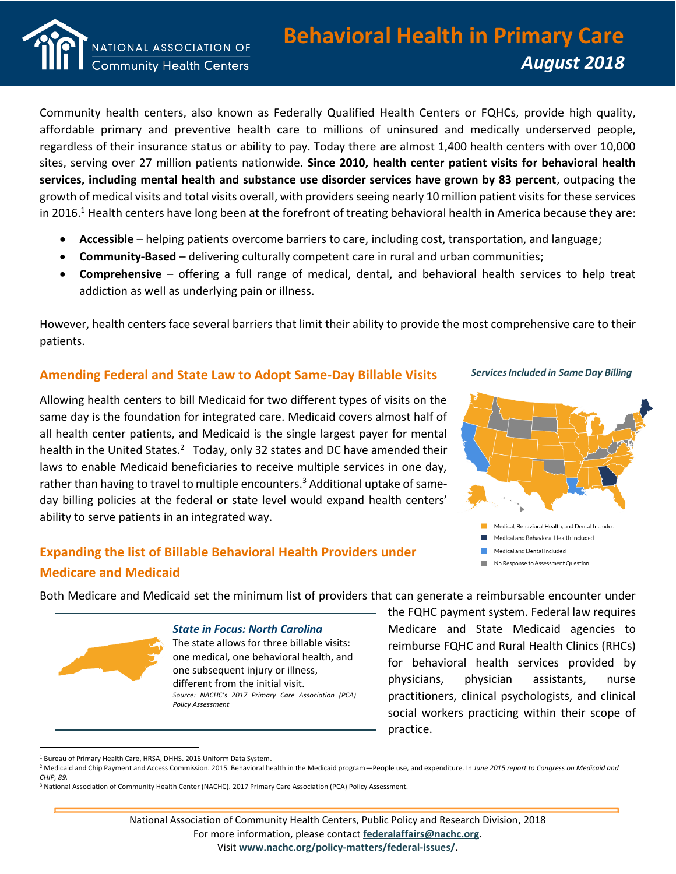

Community health centers, also known as Federally Qualified Health Centers or FQHCs, provide high quality, affordable primary and preventive health care to millions of uninsured and medically underserved people, regardless of their insurance status or ability to pay. Today there are almost 1,400 health centers with over 10,000 sites, serving over 27 million patients nationwide. **Since 2010, health center patient visits for behavioral health services, including mental health and substance use disorder services have grown by 83 percent**, outpacing the growth of medical visits and total visits overall, with providers seeing nearly 10 million patient visits for these services in 2016.<sup>1</sup> Health centers have long been at the forefront of treating behavioral health in America because they are:

- **Accessible** helping patients overcome barriers to care, including cost, transportation, and language;
- **Community-Based** delivering culturally competent care in rural and urban communities;
- **Comprehensive** offering a full range of medical, dental, and behavioral health services to help treat addiction as well as underlying pain or illness.

However, health centers face several barriers that limit their ability to provide the most comprehensive care to their patients.

## **Amending Federal and State Law to Adopt Same-Day Billable Visits**

Allowing health centers to bill Medicaid for two different types of visits on the same day is the foundation for integrated care. Medicaid covers almost half of all health center patients, and Medicaid is the single largest payer for mental health in the United States.<sup>2</sup> Today, only 32 states and DC have amended their laws to enable Medicaid beneficiaries to receive multiple services in one day, rather than having to travel to multiple encounters.<sup>3</sup> Additional uptake of sameday billing policies at the federal or state level would expand health centers' ability to serve patients in an integrated way.

# **Expanding the list of Billable Behavioral Health Providers under Medicare and Medicaid**





No Response to Assessment Question

Both Medicare and Medicaid set the minimum list of providers that can generate a reimbursable encounter under



 $\overline{a}$ 

#### *State in Focus: North Carolina*

The state allows for three billable visits: one medical, one behavioral health, and one subsequent injury or illness, different from the initial visit. *Source: NACHC's 2017 Primary Care Association (PCA) Policy Assessment*

the FQHC payment system. Federal law requires Medicare and State Medicaid agencies to reimburse FQHC and Rural Health Clinics (RHCs) for behavioral health services provided by physicians, physician assistants, nurse practitioners, clinical psychologists, and clinical social workers practicing within their scope of practice.

<sup>1</sup> Bureau of Primary Health Care, HRSA, DHHS. 2016 Uniform Data System.

<sup>2</sup> Medicaid and Chip Payment and Access Commission. 2015. Behavioral health in the Medicaid program—People use, and expenditure. In *June 2015 report to Congress on Medicaid and CHIP, 89.*

<sup>&</sup>lt;sup>3</sup> National Association of Community Health Center (NACHC). 2017 Primary Care Association (PCA) Policy Assessment.